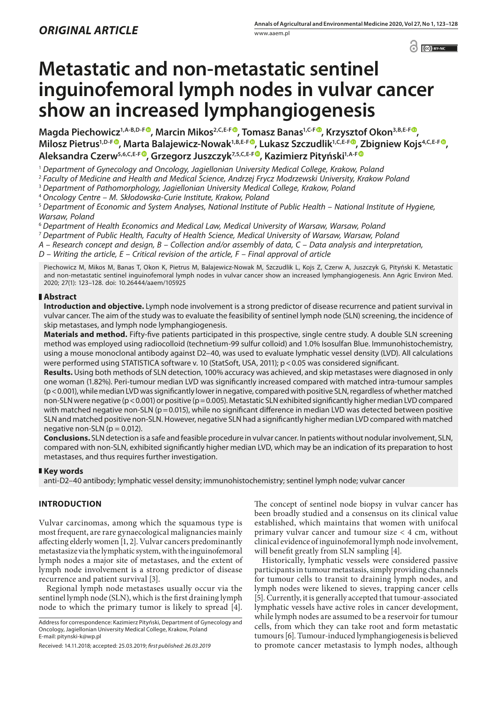$\odot$   $\odot$  BY-NC

# **Metastatic and non-metastatic sentinel inguinofemoral lymph nodes in vulvar cancer show an increased lymphangiogenesis**

**Magda Piechowicz1,A-B,D-F , Marcin Mikos2,C,E-F [,](https://orcid.org/0000-0001-7692-3360) Tomasz Banas1,C-[F](https://orcid.org/0000-0002-6656-2490) , Krzysztof Okon3,B,E-F , Milosz Pietrus1,D-F [,](https://orcid.org/0000-0001-9938-7249) Marta Balajewicz-Nowak1,B,E-F [,](https://orcid.org/0000-0002-4988-464X) Lukasz Szczudlik1,C,E-F , Zbigniew Kojs4,C,E-F [,](https://orcid.org/0000-0003-1971-8605) Aleksandra Czerw5,6,C,E-F , Grzegorz Juszczyk7,5,C,E-F , Kazimierz Pityński1,A-[F](https://orcid.org/0000-0002-9759-4786)**

<sup>1</sup> *Department of Gynecology and Oncology, Jagiellonian University Medical College, Krakow, Poland*

<sup>2</sup> *Faculty of Medicine and Health and Medical Science, Andrzej Frycz Modrzewski University, Krakow Poland*

<sup>3</sup> *Department of Pathomorphology, Jagiellonian University Medical College, Krakow, Poland*

<sup>4</sup> *Oncology Centre – M. Skłodowska-Curie Institute, Krakow, Poland*

<sup>5</sup> *Department of Economic and System Analyses, National Institute of Public Health – National Institute of Hygiene, Warsaw, Poland*

<sup>6</sup> *Department of Health Economics and Medical Law, Medical University of Warsaw, Warsaw, Poland*

<sup>7</sup> *Department of Public Health, Faculty of Health Science, Medical University of Warsaw, Warsaw, Poland*

*A – Research concept and design, B – Collection and/or assembly of data, C – Data analysis and interpretation,* 

*D – Writing the article, E – Critical revision of the article, F – Final approval of article*

Piechowicz M, Mikos M, Banas T, Okon K, Pietrus M, Balajewicz-Nowak M, Szczudlik L, Kojs Z, Czerw A, Juszczyk G, Pityński K. Metastatic and non-metastatic sentinel inguinofemoral lymph nodes in vulvar cancer show an increased lymphangiogenesis. Ann Agric Environ Med. 2020; 27(1): 123–128. doi: 10.26444/aaem/105925

# **Abstract**

**Introduction and objective.** Lymph node involvement is a strong predictor of disease recurrence and patient survival in vulvar cancer. The aim of the study was to evaluate the feasibility of sentinel lymph node (SLN) screening, the incidence of skip metastases, and lymph node lymphangiogenesis.

**Materials and method.** Fifty-five patients participated in this prospective, single centre study. A double SLN screening method was employed using radiocolloid (technetium-99 sulfur colloid) and 1.0% Isosulfan Blue. Immunohistochemistry, using a mouse monoclonal antibody against D2–40, was used to evaluate lymphatic vessel density (LVD). All calculations were performed using STATISTICA software v. 10 (StatSoft, USA, 2011); p<0.05 was considered significant.

**Results.** Using both methods of SLN detection, 100% accuracy was achieved, and skip metastases were diagnosed in only one woman (1.82%). Peri-tumour median LVD was significantly increased compared with matched intra-tumour samples (p<0.001), while median LVD was significantly lower in negative, compared with positive SLN, regardless of whether matched non-SLN were negative (p < 0.001) or positive (p = 0.005). Metastatic SLN exhibited significantly higher median LVD compared with matched negative non-SLN ( $p=0.015$ ), while no significant difference in median LVD was detected between positive SLN and matched positive non-SLN. However, negative SLN had a significantly higher median LVD compared with matched negative non-SLN ( $p = 0.012$ ).

**Conclusions.** SLN detection is a safe and feasible procedure in vulvar cancer. In patients without nodular involvement, SLN, compared with non-SLN, exhibited significantly higher median LVD, which may be an indication of its preparation to host metastases, and thus requires further investigation.

## **Key words**

anti-D2–40 antibody; lymphatic vessel density; immunohistochemistry; sentinel lymph node; vulvar cancer

# **INTRODUCTION**

Vulvar carcinomas, among which the squamous type is most frequent, are rare gynaecological malignancies mainly affecting elderly women [1, 2]. Vulvar cancers predominantly metastasize via the lymphatic system, with the inguinofemoral lymph nodes a major site of metastases, and the extent of lymph node involvement is a strong predictor of disease recurrence and patient survival [3].

Regional lymph node metastases usually occur via the sentinel lymph node (SLN), which is the first draining lymph node to which the primary tumor is likely to spread [4].

The concept of sentinel node biopsy in vulvar cancer has been broadly studied and a consensus on its clinical value established, which maintains that women with unifocal primary vulvar cancer and tumour size < 4 cm, without clinical evidence of inguinofemoral lymph node involvement, will benefit greatly from SLN sampling [4].

Historically, lymphatic vessels were considered passive participants in tumour metastasis, simply providing channels for tumour cells to transit to draining lymph nodes, and lymph nodes were likened to sieves, trapping cancer cells [5]. Currently, it is generally accepted that tumour-associated lymphatic vessels have active roles in cancer development, while lymph nodes are assumed to be a reservoir for tumour cells, from which they can take root and form metastatic tumours [6]. Tumour-induced lymphangiogenesis is believed to promote cancer metastasis to lymph nodes, although

Address for correspondence: Kazimierz Pityński, Department of Gynecology and Oncology, Jagiellonian University Medical College, Krakow, Poland E-mail: pitynski-k@wp.pl

Received: 14.11.2018; accepted: 25.03.2019; *first published: 26.03.2019*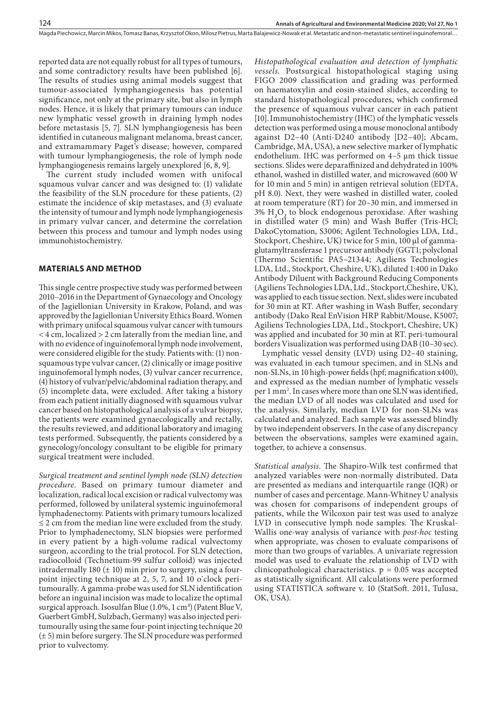Magda Piechowicz, Marcin Mikos, Tomasz Banas, Krzysztof Okon, Milosz Pietrus, Marta Balajewicz-Nowak et al. Metastatic and non-metastatic sentinel inguinofemoral…

reported data are not equally robust for all types of tumours, and some contradictory results have been published [6]. The results of studies using animal models suggest that tumour-associated lymphangiogenesis has potential significance, not only at the primary site, but also in lymph nodes. Hence, it is likely that primary tumours can induce new lymphatic vessel growth in draining lymph nodes before metastasis [5, 7]. SLN lymphangiogenesis has been identified in cutaneous malignant melanoma, breast cancer, and extramammary Paget's disease; however, compared with tumour lymphangiogenesis, the role of lymph node lymphangiogenesis remains largely unexplored [6, 8, 9].

The current study included women with unifocal squamous vulvar cancer and was designed to: (1) validate the feasibility of the SLN procedure for these patients, (2) estimate the incidence of skip metastases, and (3) evaluate the intensity of tumour and lymph node lymphangiogenesis in primary vulvar cancer, and determine the correlation between this process and tumour and lymph nodes using immunohistochemistry.

## **MATERIALS AND METHOD**

This single centre prospective study was performed between 2010–2016 in the Department of Gynaecology and Oncology of the Jagiellonian University in Krakow, Poland, and was approved by the Jagiellonian University Ethics Board. Women with primary unifocal squamous vulvar cancer with tumours < 4 cm, localized > 2 cm laterally from the median line, and with no evidence of inguinofemoral lymph node involvement, were considered eligible for the study. Patients with: (1) nonsquamous type vulvar cancer, (2) clinically or image positive inguinofemoral lymph nodes, (3) vulvar cancer recurrence, (4) history of vulvar/pelvic/abdominal radiation therapy, and (5) incomplete data, were excluded. After taking a history from each patient initially diagnosed with squamous vulvar cancer based on histopathological analysis of a vulvar biopsy, the patients were examined gynaecologically and rectally, the results reviewed, and additional laboratory and imaging tests performed. Subsequently, the patients considered by a gynecology/oncology consultant to be eligible for primary surgical treatment were included.

*Surgical treatment and sentinel lymph node (SLN) detection procedure.* Based on primary tumour diameter and localization, radical local excision or radical vulvectomy was performed, followed by unilateral systemic inguinofemoral lymphadenectomy. Patients with primary tumours localized ≤ 2 cm from the median line were excluded from the study. Prior to lymphadenectomy, SLN biopsies were performed in every patient by a high-volume radical vulvectomy surgeon, according to the trial protocol. For SLN detection, radiocolloid (Technetium-99 sulfur colloid) was injected intradermally 180  $(\pm 10)$  min prior to surgery, using a fourpoint injecting technique at 2, 5, 7, and 10 o`clock peritumourally. A gamma-probe was used for SLN identification before an inguinal incision was made to localize the optimal surgical approach. Isosulfan Blue (1.0%, 1 cm*<sup>3</sup>* ) (Patent Blue V, Guerbert GmbH, Sulzbach, Germany) was also injected peritumourally using the same four-point injecting technique 20 (± 5) min before surgery. The SLN procedure was performed prior to vulvectomy.

*Histopathological evaluation and detection of lymphatic vessels.* Postsurgical histopathological staging using FIGO 2009 classification and grading was performed on haematoxylin and eosin-stained slides, according to standard histopathological procedures, which confirmed the presence of squamous vulvar cancer in each patient [10].Immunohistochemistry (IHC) of the lymphatic vessels detection was performed using a mouse monoclonal antibody against D2–40 (Anti-D240 antibody [D2–40]; Abcam, Cambridge, MA, USA), a new selective marker of lymphatic endothelium. IHC was performed on 4–5 μm thick tissue sections. Slides were deparaffinized and dehydrated in 100% ethanol, washed in distilled water, and microwaved (600 W for 10 min and 5 min) in antigen retrieval solution (EDTA, pH 8.0). Next, they were washed in distilled water, cooled at room temperature (RT) for 20–30 min, and immersed in 3% H*<sup>2</sup>* O*2* to block endogenous peroxidase. After washing in distilled water (5 min) and Wash Buffer (Tris-HCl; DakoCytomation, S3006; Agilent Technologies LDA, Ltd., Stockport, Cheshire, UK) twice for 5 min, 100 µl of gammaglutamyltransferase 1 precursor antibody (GGT1; polyclonal (Thermo Scientific PA5–21344; Agiliens Technologies LDA, Ltd., Stockport, Cheshire, UK), diluted 1:400 in Dako Antibody Diluent with Background Reducing Components (Agiliens Technologies LDA, Ltd., Stockport,Cheshire, UK), was applied to each tissue section. Next, slides were incubated for 30 min at RT. After washing in Wash Buffer, secondary antibody (Dako Real EnVision HRP Rabbit/Mouse, K5007; Agiliens Technologies LDA, Ltd., Stockport, Cheshire, UK) was applied and incubated for 30 min at RT. peri-tumoural borders Visualization was performed using DAB (10–30 sec).

Lymphatic vessel density (LVD) using D2–40 staining, was evaluated in each tumour specimen, and in SLNs and non-SLNs, in 10 high-power fields (hpf; magnification x400), and expressed as the median number of lymphatic vessels per 1 mm2 . In cases where more than one SLN was identified, the median LVD of all nodes was calculated and used for the analysis. Similarly, median LVD for non-SLNs was calculated and analyzed. Each sample was assessed blindly by two independent observers. In the case of any discrepancy between the observations, samples were examined again, together, to achieve a consensus.

*Statistical analysis*. The Shapiro-Wilk test confirmed that analyzed variables were non-normally distributed. Data are presented as medians and interquartile range (IQR) or number of cases and percentage. Mann-Whitney U analysis was chosen for comparisons of independent groups of patients, while the Wilcoxon pair test was used to analyze LVD in consecutive lymph node samples. The Kruskal-Wallis one-way analysis of variance with *post-hoc* testing when appropriate, was chosen to evaluate comparisons of more than two groups of variables. A univariate regression model was used to evaluate the relationship of LVD with clinicopathological characteristics.  $p = 0.05$  was accepted as statistically significant. All calculations were performed using STATISTICA software v. 10 (StatSoft. 2011, Tulusa, OK, USA).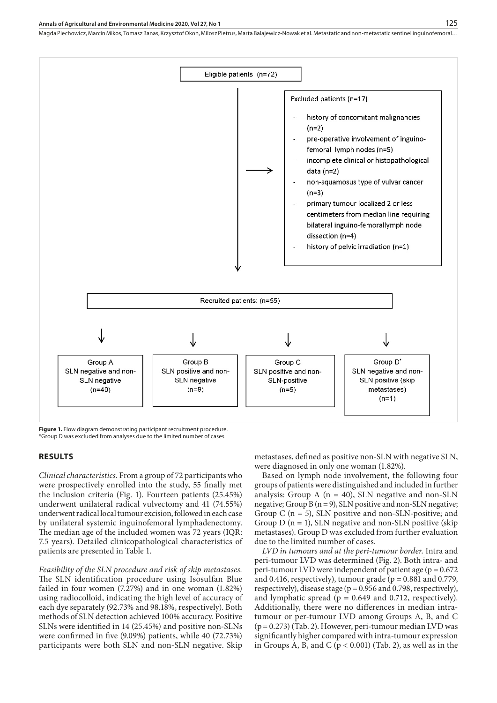#### **Annals of Agricultural and Environmental Medicine 2020, Vol 27, No 1**

Magda Piechowicz, Marcin Mikos, Tomasz Banas, Krzysztof Okon, Milosz Pietrus, Marta Balajewicz-Nowak et al. Metastatic and non-metastatic sentinel inguinofemoral…



**Figure 1.** Flow diagram demonstrating participant recruitment procedure. \*Group D was excluded from analyses due to the limited number of cases

## **RESULTS**

*Clinical characteristics.* From a group of 72 participants who were prospectively enrolled into the study, 55 finally met the inclusion criteria (Fig. 1). Fourteen patients (25.45%) underwent unilateral radical vulvectomy and 41 (74.55%) underwent radical local tumour excision, followed in each case by unilateral systemic inguinofemoral lymphadenectomy. The median age of the included women was 72 years (IQR: 7.5 years). Detailed clinicopathological characteristics of patients are presented in Table 1.

*Feasibility of the SLN procedure and risk of skip metastases.*  The SLN identification procedure using Isosulfan Blue failed in four women (7.27%) and in one woman (1.82%) using radiocolloid, indicating the high level of accuracy of each dye separately (92.73% and 98.18%, respectively). Both methods of SLN detection achieved 100% accuracy. Positive SLNs were identified in 14 (25.45%) and positive non-SLNs were confirmed in five (9.09%) patients, while 40 (72.73%) participants were both SLN and non-SLN negative. Skip

metastases, defined as positive non-SLN with negative SLN, were diagnosed in only one woman (1.82%).

Based on lymph node involvement, the following four groups of patients were distinguished and included in further analysis: Group A ( $n = 40$ ), SLN negative and non-SLN negative; Group B (n = 9), SLN positive and non-SLN negative; Group C ( $n = 5$ ), SLN positive and non-SLN-positive; and Group  $D$  (n = 1), SLN negative and non-SLN positive (skip metastases). Group D was excluded from further evaluation due to the limited number of cases.

*LVD in tumours and at the peri-tumour border.* Intra and peri-tumour LVD was determined (Fig. 2). Both intra- and peri-tumour LVD were independent of patient age (p = 0.672 and 0.416, respectively), tumour grade ( $p = 0.881$  and 0.779, respectively), disease stage ( $p = 0.956$  and 0.798, respectively), and lymphatic spread ( $p = 0.649$  and 0.712, respectively). Additionally, there were no differences in median intratumour or per-tumour LVD among Groups A, B, and C (p= 0.273) (Tab. 2). However, peri-tumour median LVD was significantly higher compared with intra-tumour expression in Groups A, B, and C ( $p < 0.001$ ) (Tab. 2), as well as in the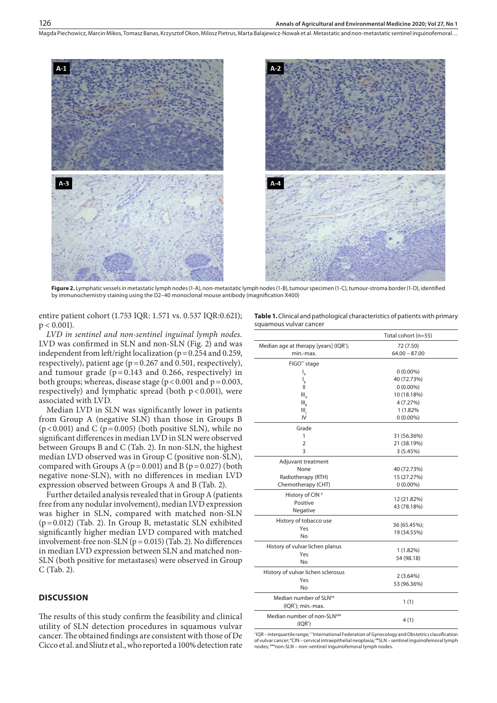Magda Piechowicz, Marcin Mikos, Tomasz Banas, Krzysztof Okon, Milosz Pietrus, Marta Balajewicz-Nowak et al. Metastatic and non-metastatic sentinel inguinofemoral…



**Figure 2.** Lymphatic vessels in metastatic lymph nodes (1-A), non-metastatic lymph nodes (1-B), tumour specimen (1-C), tumour-stroma border (1-D), identified by immunochemistry staining using the D2–40 monoclonal mouse antibody (magnification X400)

entire patient cohort (1.753 IQR: 1.571 vs. 0.537 IQR:0.621);  $p < 0.001$ ).

*LVD in sentinel and non-sentinel inguinal lymph nodes.* LVD was confirmed in SLN and non-SLN (Fig. 2) and was independent from left/right localization ( $p = 0.254$  and 0.259, respectively), patient age ( $p = 0.267$  and 0.501, respectively), and tumour grade  $(p=0.143$  and 0.266, respectively) in both groups; whereas, disease stage ( $p < 0.001$  and  $p = 0.003$ , respectively) and lymphatic spread (both  $p < 0.001$ ), were associated with LVD.

Median LVD in SLN was significantly lower in patients from Group A (negative SLN) than those in Groups B ( $p$ <0.001) and C ( $p$ =0.005) (both positive SLN), while no significant differences in median LVD in SLN were observed between Groups B and C (Tab. 2). In non-SLN, the highest median LVD observed was in Group C (positive non-SLN), compared with Groups A ( $p=0.001$ ) and B ( $p=0.027$ ) (both negative none-SLN), with no differences in median LVD expression observed between Groups A and B (Tab. 2).

Further detailed analysis revealed that in Group A (patients free from any nodular involvement), median LVD expression was higher in SLN, compared with matched non-SLN (p=0.012) (Tab. 2). In Group B, metastatic SLN exhibited significantly higher median LVD compared with matched involvement-free non-SLN ( $p = 0.015$ ) (Tab. 2). No differences in median LVD expression between SLN and matched non-SLN (both positive for metastases) were observed in Group C (Tab. 2).

# **DISCUSSION**

The results of this study confirm the feasibility and clinical utility of SLN detection procedures in squamous vulvar cancer. The obtained findings are consistent with those of De Cicco et al. and Sliutz et al., who reported a 100% detection rate

| <b>Table 1.</b> Clinical and pathological characteristics of patients with primary |
|------------------------------------------------------------------------------------|
| squamous vulvar cancer                                                             |

|                                         | Total cohort (n=55) |
|-----------------------------------------|---------------------|
| Median age at therapy [years] (IQR');   | 72 (7.50)           |
| min.-max.                               | $64.00 - 87.00$     |
| FIGO** stage                            |                     |
| $I_A$                                   | $0(0.00\%)$         |
| $I_{\rm R}$                             | 40 (72.73%)         |
| Ш                                       | $0(0.00\%)$         |
| III <sub>n</sub>                        | 10 (18.18%)         |
| $III_{R}$                               | 4 (7.27%)           |
| Ш,                                      | 1 (1.82%            |
| IV                                      | $0(0.00\%)$         |
| Grade                                   |                     |
| 1                                       | 31 (56.36%)         |
| $\overline{2}$                          | 21 (38.19%)         |
| 3                                       | 3(5.45%)            |
| Adjuvant treatment                      |                     |
| None                                    | 40 (72.73%)         |
| Radiotherapy (RTH)                      | 15 (27.27%)         |
| Chemotherapy (CHT)                      | $0(0.00\%)$         |
| History of CIN <sup>#</sup>             |                     |
| Positive                                | 12 (21.82%)         |
| Negative                                | 43 (78.18%)         |
| History of tobacco use                  |                     |
| Yes                                     | 36 (65.45%);        |
| No                                      | 19 (34.55%)         |
|                                         |                     |
| History of vulvar lichen planus<br>Yes  | 1(1.82%)            |
| No                                      | 54 (98.18)          |
|                                         |                     |
| History of vulvar lichen sclerosus      | 2(3.64%)            |
| Yes                                     | 53 (96.36%)         |
| No                                      |                     |
| Median number of SLN <sup>##</sup>      | 1(1)                |
| (IQR <sup>*</sup> ); min.-max.          |                     |
| Median number of non-SLN <sup>###</sup> |                     |
| $(IQR^*)$                               | 4(1)                |

\* IQR – interquartile range; \*\*International Federation of Gynecology and Obstetrics classification of vulvar cancer; # CIN – cervical intraepithelial neoplasia; ##SLN – sentinel inguinofemoral lymph nodes; ###non-SLN – non-sentinel inguinofemoral lymph nodes.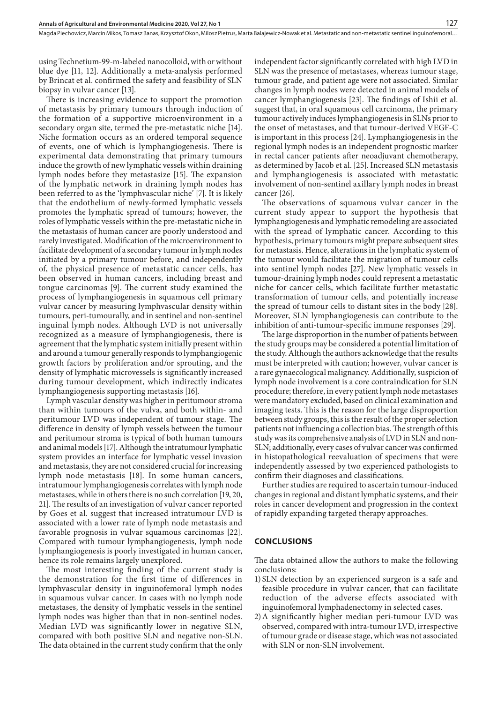using Technetium-99-m-labeled nanocolloid, with or without blue dye [11, 12]. Additionally a meta-analysis performed by Brincat et al. confirmed the safety and feasibility of SLN biopsy in vulvar cancer [13].

There is increasing evidence to support the promotion of metastasis by primary tumours through induction of the formation of a supportive microenvironment in a secondary organ site, termed the pre-metastatic niche [14]. Niche formation occurs as an ordered temporal sequence of events, one of which is lymphangiogenesis. There is experimental data demonstrating that primary tumours induce the growth of new lymphatic vessels within draining lymph nodes before they metastasize [15]. The expansion of the lymphatic network in draining lymph nodes has been referred to as the 'lymphvascular niche' [7]. It is likely that the endothelium of newly-formed lymphatic vessels promotes the lymphatic spread of tumours; however, the roles of lymphatic vessels within the pre-metastatic niche in the metastasis of human cancer are poorly understood and rarely investigated. Modification of the microenvironment to facilitate development of a secondary tumour in lymph nodes initiated by a primary tumour before, and independently of, the physical presence of metastatic cancer cells, has been observed in human cancers, including breast and tongue carcinomas [9]. The current study examined the process of lymphangiogenesis in squamous cell primary vulvar cancer by measuring lymphvascular density within tumours, peri-tumourally, and in sentinel and non-sentinel inguinal lymph nodes. Although LVD is not universally recognized as a measure of lymphangiogenesis, there is agreement that the lymphatic system initially present within and around a tumour generally responds to lymphangiogenic growth factors by proliferation and/or sprouting, and the density of lymphatic microvessels is significantly increased during tumour development, which indirectly indicates lymphangiogenesis supporting metastasis [16].

Lymph vascular density was higher in peritumour stroma than within tumours of the vulva, and both within- and peritumour LVD was independent of tumour stage. The difference in density of lymph vessels between the tumour and peritumour stroma is typical of both human tumours and animal models [17]. Although the intratumour lymphatic system provides an interface for lymphatic vessel invasion and metastasis, they are not considered crucial for increasing lymph node metastasis [18]. In some human cancers, intratumour lymphangiogenesis correlates with lymph node metastases, while in others there is no such correlation [19, 20, 21]. The results of an investigation of vulvar cancer reported by Goes et al. suggest that increased intratumour LVD is associated with a lower rate of lymph node metastasis and favorable prognosis in vulvar squamous carcinomas [22]. Compared with tumour lymphangiogenesis, lymph node lymphangiogenesis is poorly investigated in human cancer, hence its role remains largely unexplored.

The most interesting finding of the current study is the demonstration for the first time of differences in lymphvascular density in inguinofemoral lymph nodes in squamous vulvar cancer. In cases with no lymph node metastases, the density of lymphatic vessels in the sentinel lymph nodes was higher than that in non-sentinel nodes. Median LVD was significantly lower in negative SLN, compared with both positive SLN and negative non-SLN. The data obtained in the current study confirm that the only

independent factor significantly correlated with high LVD in SLN was the presence of metastases, whereas tumour stage, tumour grade, and patient age were not associated. Similar changes in lymph nodes were detected in animal models of cancer lymphangiogenesis [23]. The findings of Ishii et al. suggest that, in oral squamous cell carcinoma, the primary tumour actively induces lymphangiogenesis in SLNs prior to the onset of metastases, and that tumour-derived VEGF-C is important in this process [24]. Lymphangiogenesis in the regional lymph nodes is an independent prognostic marker in rectal cancer patients after neoadjuvant chemotherapy, as determined by Jacob et al. [25]. Increased SLN metastasis and lymphangiogenesis is associated with metastatic involvement of non-sentinel axillary lymph nodes in breast cancer [26].

The observations of squamous vulvar cancer in the current study appear to support the hypothesis that lymphangiogenesis and lymphatic remodeling are associated with the spread of lymphatic cancer. According to this hypothesis, primary tumours might prepare subsequent sites for metastasis. Hence, alterations in the lymphatic system of the tumour would facilitate the migration of tumour cells into sentinel lymph nodes [27]. New lymphatic vessels in tumour-draining lymph nodes could represent a metastatic niche for cancer cells, which facilitate further metastatic transformation of tumour cells, and potentially increase the spread of tumour cells to distant sites in the body [28]. Moreover, SLN lymphangiogenesis can contribute to the inhibition of anti-tumour-specific immune responses [29].

The large disproportion in the number of patients between the study groups may be considered a potential limitation of the study. Although the authors acknowledge that the results must be interpreted with caution; however, vulvar cancer is a rare gynaecological malignancy. Additionally, suspicion of lymph node involvement is a core contraindication for SLN procedure; therefore, in every patient lymph node metastases were mandatory excluded, based on clinical examination and imaging tests. This is the reason for the large disproportion between study groups, this is the result of the proper selection patients not influencing a collection bias. The strength of this study was its comprehensive analysis of LVD in SLN and non-SLN; additionally, every cases of vulvar cancer was confirmed in histopathological reevaluation of specimens that were independently assessed by two experienced pathologists to confirm their diagnoses and classifications.

Further studies are required to ascertain tumour-induced changes in regional and distant lymphatic systems, and their roles in cancer development and progression in the context of rapidly expanding targeted therapy approaches.

## **CONCLUSIONS**

The data obtained allow the authors to make the following conclusions:

- 1) SLN detection by an experienced surgeon is a safe and feasible procedure in vulvar cancer, that can facilitate reduction of the adverse effects associated with inguinofemoral lymphadenectomy in selected cases.
- 2)A significantly higher median peri-tumour LVD was observed, compared with intra-tumour LVD, irrespective of tumour grade or disease stage, which was not associated with SLN or non-SLN involvement.